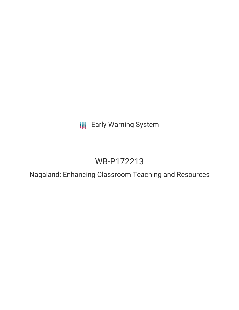**III** Early Warning System

# WB-P172213

Nagaland: Enhancing Classroom Teaching and Resources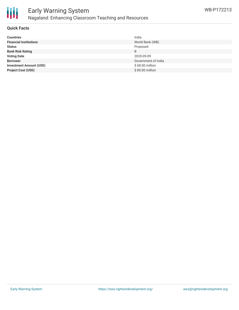

## Early Warning System Nagaland: Enhancing Classroom Teaching and Resources

#### **Quick Facts**

| <b>Countries</b>               | India               |
|--------------------------------|---------------------|
| <b>Financial Institutions</b>  | World Bank (WB)     |
| <b>Status</b>                  | Proposed            |
| <b>Bank Risk Rating</b>        | B                   |
| <b>Voting Date</b>             | 2020-09-09          |
| <b>Borrower</b>                | Government of India |
| <b>Investment Amount (USD)</b> | \$68.00 million     |
| <b>Project Cost (USD)</b>      | \$85.00 million     |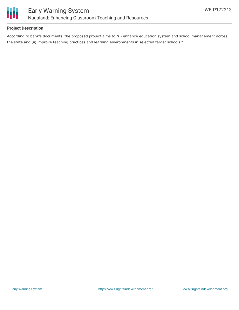

#### **Project Description**

According to bank's documents, the proposed project aims to "(i) enhance education system and school management across the state and (ii) improve teaching practices and learning environments in selected target schools."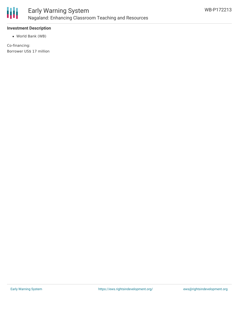

#### **Investment Description**

World Bank (WB)

Co-financing: Borrower US\$ 17 million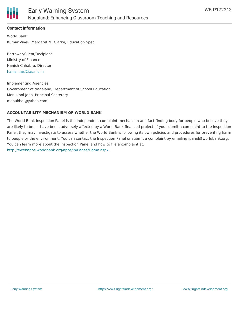

#### **Contact Information**

World Bank Kumar Vivek, Margaret M. Clarke, Education Spec.

Borrower/Client/Recipient Ministry of Finance Hanish Chhabra, Director [hanish.ias@ias.nic.in](mailto:hanish.ias@ias.nic.in)

Implementing Agencies Government of Nagaland, Department of School Education Menukhol John, Principal Secretary menukhol@yahoo.com

#### **ACCOUNTABILITY MECHANISM OF WORLD BANK**

The World Bank Inspection Panel is the independent complaint mechanism and fact-finding body for people who believe they are likely to be, or have been, adversely affected by a World Bank-financed project. If you submit a complaint to the Inspection Panel, they may investigate to assess whether the World Bank is following its own policies and procedures for preventing harm to people or the environment. You can contact the Inspection Panel or submit a complaint by emailing ipanel@worldbank.org. You can learn more about the Inspection Panel and how to file a complaint at: <http://ewebapps.worldbank.org/apps/ip/Pages/Home.aspx> .